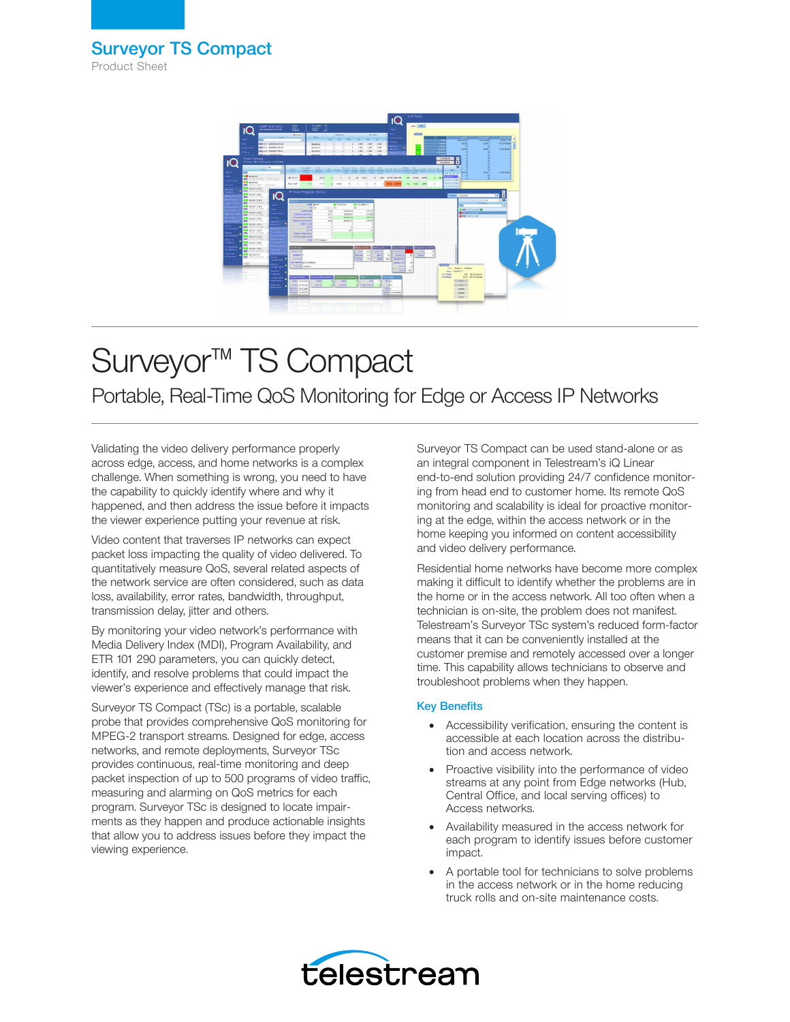

# Surveyor™ TS Compact Portable, Real-Time QoS Monitoring for Edge or Access IP Networks

Validating the video delivery performance properly across edge, access, and home networks is a complex challenge. When something is wrong, you need to have the capability to quickly identify where and why it happened, and then address the issue before it impacts the viewer experience putting your revenue at risk.

Video content that traverses IP networks can expect packet loss impacting the quality of video delivered. To quantitatively measure QoS, several related aspects of the network service are often considered, such as data loss, availability, error rates, bandwidth, throughput, transmission delay, jitter and others.

By monitoring your video network's performance with Media Delivery Index (MDI), Program Availability, and ETR 101 290 parameters, you can quickly detect, identify, and resolve problems that could impact the viewer's experience and effectively manage that risk.

Surveyor TS Compact (TSc) is a portable, scalable probe that provides comprehensive QoS monitoring for MPEG-2 transport streams. Designed for edge, access networks, and remote deployments, Surveyor TSc provides continuous, real-time monitoring and deep packet inspection of up to 500 programs of video traffic, measuring and alarming on QoS metrics for each program. Surveyor TSc is designed to locate impairments as they happen and produce actionable insights that allow you to address issues before they impact the viewing experience.

Surveyor TS Compact can be used stand-alone or as an integral component in Telestream's iQ Linear end-to-end solution providing 24/7 confidence monitoring from head end to customer home. Its remote QoS monitoring and scalability is ideal for proactive monitoring at the edge, within the access network or in the home keeping you informed on content accessibility and video delivery performance.

Residential home networks have become more complex making it difficult to identify whether the problems are in the home or in the access network. All too often when a technician is on-site, the problem does not manifest. Telestream's Surveyor TSc system's reduced form-factor means that it can be conveniently installed at the customer premise and remotely accessed over a longer time. This capability allows technicians to observe and troubleshoot problems when they happen.

## Key Benefits

- Accessibility verification, ensuring the content is accessible at each location across the distribution and access network.
- Proactive visibility into the performance of video streams at any point from Edge networks (Hub, Central Office, and local serving offices) to Access networks.
- Availability measured in the access network for each program to identify issues before customer impact.
- A portable tool for technicians to solve problems in the access network or in the home reducing truck rolls and on-site maintenance costs.